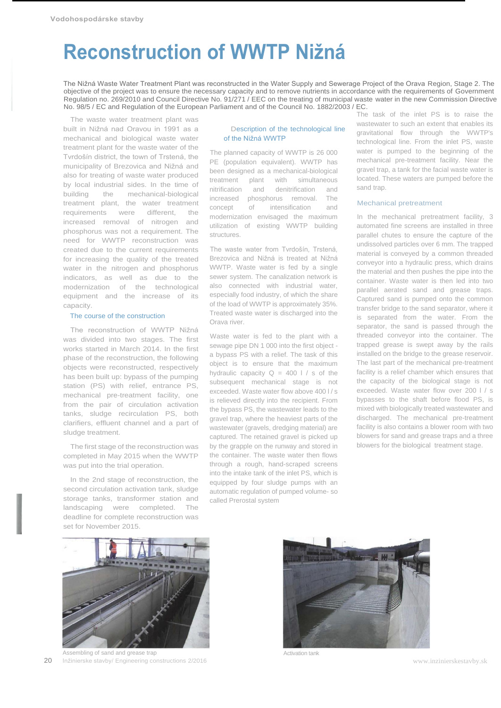# **Reconstruction of WWTP Nižná**

The Nižná Waste Water Treatment Plant was reconstructed in the Water Supply and Sewerage Project of the Orava Region, Stage 2. The objective of the project was to ensure the necessary capacity and to remove nutrients in accordance with the requirements of Government Regulation no. 269/2010 and Council Directive No. 91/271 / EEC on the treating of municipal waste water in the new Commission Directive No. 98/5 / EC and Regulation of the European Parliament and of the Council No. 1882/2003 / EC.

The waste water treatment plant was built in Nižná nad Oravou in 1991 as a mechanical and biological waste water treatment plant for the waste water of the Tvrdošín district, the town of Trstená, the municipality of Brezovica and Nižná and also for treating of waste water produced by local industrial sides. In the time of building the mechanical-biological treatment plant, the water treatment requirements were different, the increased removal of nitrogen and phosphorus was not a requirement. The need for WWTP reconstruction was created due to the current requirements for increasing the quality of the treated water in the nitrogen and phosphorus indicators, as well as due to the modernization of the technological equipment and the increase of its capacity.

## The course of the construction

The reconstruction of WWTP Nižná was divided into two stages. The first works started in March 2014. In the first phase of the reconstruction, the following objects were reconstructed, respectively has been built up: bypass of the pumping station (PS) with relief, entrance PS, mechanical pre-treatment facility, one from the pair of circulation activation tanks, sludge recirculation PS, both clarifiers, effluent channel and a part of sludge treatment.

The first stage of the reconstruction was completed in May 2015 when the WWTP was put into the trial operation.

In the 2nd stage of reconstruction, the second circulation activation tank, sludge storage tanks, transformer station and landscaping were completed. The deadline for complete reconstruction was set for November 2015.

## Description of the technological line of the Nižná WWTP

The planned capacity of WWTP is 26 000 PE (population equivalent). WWTP has been designed as a mechanical-biological treatment plant with simultaneous nitrification and denitrification and increased phosphorus removal. The concept of intensification and modernization envisaged the maximum utilization of existing WWTP building structures.

The waste water from Tvrdošín, Trstená, Brezovica and Nižná is treated at Nižná WWTP. Waste water is fed by a single sewer system. The canalization network is also connected with industrial water, especially food industry, of which the share of the load of WWTP is approximately 35%. Treated waste water is discharged into the Orava river.

Waste water is fed to the plant with a sewage pipe DN 1 000 into the first object a bypass PS with a relief. The task of this object is to ensure that the maximum hydraulic capacity  $Q = 400$  l / s of the subsequent mechanical stage is not exceeded. Waste water flow above 400 l/s is relieved directly into the recipient. From the bypass PS, the wastewater leads to the gravel trap, where the heaviest parts of the wastewater (gravels, dredging material) are captured. The retained gravel is picked up by the grapple on the runway and stored in the container. The waste water then flows through a rough, hand-scraped screens into the intake tank of the inlet PS, which is equipped by four sludge pumps with an automatic regulation of pumped volume- so called Prerostal system

The task of the inlet PS is to raise the wastewater to such an extent that enables its gravitational flow through the WWTP's technological line. From the inlet PS, waste water is pumped to the beginning of the mechanical pre-treatment facility. Near the gravel trap, a tank for the facial waste water is located. These waters are pumped before the sand trap.

## Mechanical pretreatment

In the mechanical pretreatment facility, 3 automated fine screens are installed in three parallel chutes to ensure the capture of the undissolved particles over 6 mm. The trapped material is conveyed by a common threaded conveyor into a hydraulic press, which drains the material and then pushes the pipe into the container. Waste water is then led into two parallel aerated sand and grease traps. Captured sand is pumped onto the common transfer bridge to the sand separator, where it is separated from the water. From the separator, the sand is passed through the threaded conveyor into the container. The trapped grease is swept away by the rails installed on the bridge to the grease reservoir. The last part of the mechanical pre-treatment facility is a relief chamber which ensures that the capacity of the biological stage is not exceeded. Waste water flow over 200 l / s bypasses to the shaft before flood PS, is mixed with biologically treated wastewater and discharged. The mechanical pre-treatment facility is also contains a blower room with two blowers for sand and grease traps and a three blowers for the biological treatment stage.



Assembling of sand and grease trap Activation tank and a series are a series of the Activation tank 20 Inžinierske stavby/ Engineering constructions 2/2016 Www.inzinierskestavby.sk

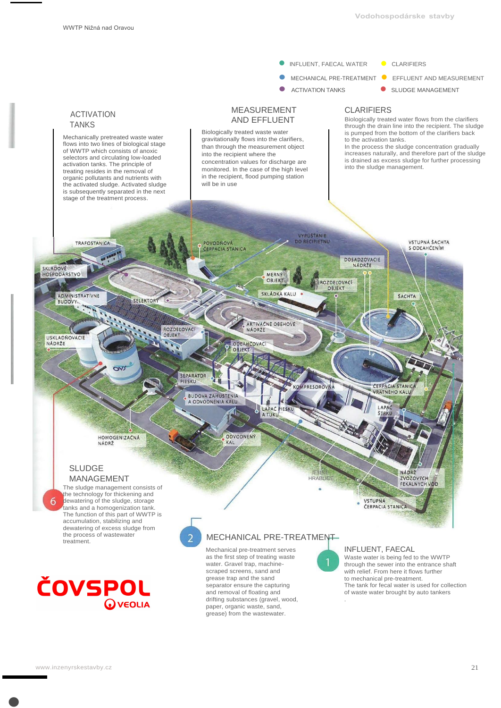• INFLUENT, FAECAL WATER

**CLARIFIERS** 

to the activation tanks.

into the sludge management.

- MECHANICAL PRE-TREATMENT
- ACTIVATION TANKS
- CLARIFIERS
- EFFLUENT AND MEASUREMENT
- SLUDGE MANAGEMENT

Biologically treated water flows from the clarifiers through the drain line into the recipient. The sludge is pumped from the bottom of the clarifiers back

In the process the sludge concentration gradually increases naturally, and therefore part of the sludge is drained as excess sludge for further processing

# ACTIVATION **TANKS**

Mechanically pretreated waste water flows into two lines of biological stage of WWTP which consists of anoxic selectors and circulating low-loaded activation tanks. The principle of treating resides in the removal of organic pollutants and nutrients with the activated sludge. Activated sludge is subsequently separated in the next stage of the treatment process.

# MEASUREMENT AND EFFLUENT

Biologically treated waste water gravitationally flows into the clarifiers, than through the measurement object into the recipient where the concentration values for discharge are monitored. In the case of the high level in the recipient, flood pumping station will be in use



separator ensure the capturing and removal of floating and drifting substances (gravel, wood, paper, organic waste, sand, grease) from the wastewater.

to mechanical pre-treatment. The tank for fecal water is used for collection of waste water brought by auto tankers .

•

**ČOVSPOL**